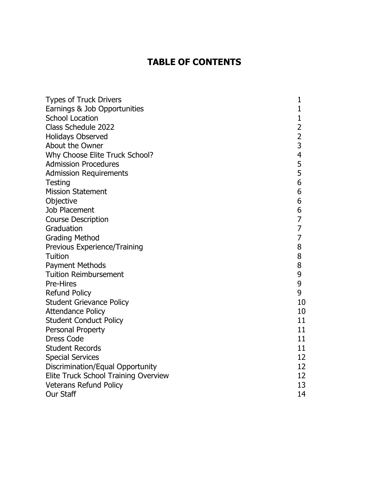## **TABLE OF CONTENTS**

| <b>Types of Truck Drivers</b>        | 1                        |
|--------------------------------------|--------------------------|
| Earnings & Job Opportunities         | 1                        |
| <b>School Location</b>               | 1                        |
| Class Schedule 2022                  | $\overline{2}$           |
| <b>Holidays Observed</b>             | $\overline{2}$           |
| About the Owner                      | $\overline{3}$           |
| Why Choose Elite Truck School?       | $\overline{\mathcal{A}}$ |
| <b>Admission Procedures</b>          | 5                        |
| <b>Admission Requirements</b>        | 5                        |
| Testing                              | 6                        |
| <b>Mission Statement</b>             | 6                        |
| Objective                            | 6                        |
| Job Placement                        | 6                        |
| <b>Course Description</b>            | 7                        |
| Graduation                           | 7                        |
| <b>Grading Method</b>                | $\overline{7}$           |
| Previous Experience/Training         | 8                        |
| Tuition                              | 8                        |
| <b>Payment Methods</b>               | 8                        |
| <b>Tuition Reimbursement</b>         | 9                        |
| <b>Pre-Hires</b>                     | 9                        |
| <b>Refund Policy</b>                 | 9                        |
| <b>Student Grievance Policy</b>      | 10                       |
| <b>Attendance Policy</b>             | 10                       |
| <b>Student Conduct Policy</b>        | 11                       |
| Personal Property                    | 11                       |
| <b>Dress Code</b>                    | 11                       |
| <b>Student Records</b>               | 11                       |
| <b>Special Services</b>              | 12                       |
| Discrimination/Equal Opportunity     | 12                       |
| Elite Truck School Training Overview | 12                       |
| <b>Veterans Refund Policy</b>        | 13                       |
| <b>Our Staff</b>                     | 14                       |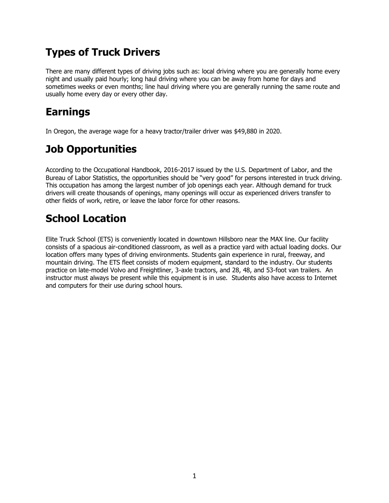# **Types of Truck Drivers**

There are many different types of driving jobs such as: local driving where you are generally home every night and usually paid hourly; long haul driving where you can be away from home for days and sometimes weeks or even months; line haul driving where you are generally running the same route and usually home every day or every other day.

# **Earnings**

In Oregon, the average wage for a heavy tractor/trailer driver was \$49,880 in 2020.

# **Job Opportunities**

According to the Occupational Handbook, 2016-2017 issued by the U.S. Department of Labor, and the Bureau of Labor Statistics, the opportunities should be "very good" for persons interested in truck driving. This occupation has among the largest number of job openings each year. Although demand for truck drivers will create thousands of openings, many openings will occur as experienced drivers transfer to other fields of work, retire, or leave the labor force for other reasons.

# **School Location**

Elite Truck School (ETS) is conveniently located in downtown Hillsboro near the MAX line. Our facility consists of a spacious air-conditioned classroom, as well as a practice yard with actual loading docks. Our location offers many types of driving environments. Students gain experience in rural, freeway, and mountain driving. The ETS fleet consists of modern equipment, standard to the industry. Our students practice on late-model Volvo and Freightliner, 3-axle tractors, and 28, 48, and 53-foot van trailers. An instructor must always be present while this equipment is in use. Students also have access to Internet and computers for their use during school hours.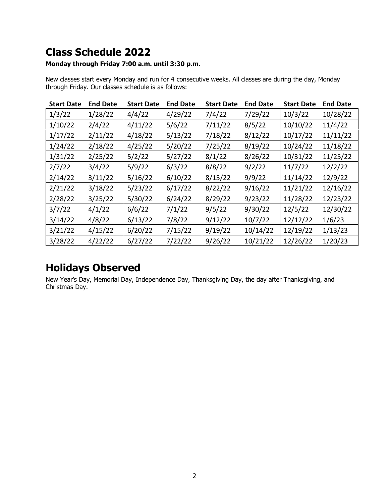# **Class Schedule 2022**

### **Monday through Friday 7:00 a.m. until 3:30 p.m.**

New classes start every Monday and run for 4 consecutive weeks. All classes are during the day, Monday through Friday. Our classes schedule is as follows:

| <b>Start Date</b> | <b>End Date</b> | <b>Start Date</b> | <b>End Date</b> | <b>Start Date</b> | <b>End Date</b> | <b>Start Date</b> | <b>End Date</b> |
|-------------------|-----------------|-------------------|-----------------|-------------------|-----------------|-------------------|-----------------|
| 1/3/22            | 1/28/22         | 4/4/22            | 4/29/22         | 7/4/22            | 7/29/22         | 10/3/22           | 10/28/22        |
| 1/10/22           | 2/4/22          | 4/11/22           | 5/6/22          | 7/11/22           | 8/5/22          | 10/10/22          | 11/4/22         |
| 1/17/22           | 2/11/22         | 4/18/22           | 5/13/22         | 7/18/22           | 8/12/22         | 10/17/22          | 11/11/22        |
| 1/24/22           | 2/18/22         | 4/25/22           | 5/20/22         | 7/25/22           | 8/19/22         | 10/24/22          | 11/18/22        |
| 1/31/22           | 2/25/22         | 5/2/22            | 5/27/22         | 8/1/22            | 8/26/22         | 10/31/22          | 11/25/22        |
| 2/7/22            | 3/4/22          | 5/9/22            | 6/3/22          | 8/8/22            | 9/2/22          | 11/7/22           | 12/2/22         |
| 2/14/22           | 3/11/22         | 5/16/22           | 6/10/22         | 8/15/22           | 9/9/22          | 11/14/22          | 12/9/22         |
| 2/21/22           | 3/18/22         | 5/23/22           | 6/17/22         | 8/22/22           | 9/16/22         | 11/21/22          | 12/16/22        |
| 2/28/22           | 3/25/22         | 5/30/22           | 6/24/22         | 8/29/22           | 9/23/22         | 11/28/22          | 12/23/22        |
| 3/7/22            | 4/1/22          | 6/6/22            | 7/1/22          | 9/5/22            | 9/30/22         | 12/5/22           | 12/30/22        |
| 3/14/22           | 4/8/22          | 6/13/22           | 7/8/22          | 9/12/22           | 10/7/22         | 12/12/22          | 1/6/23          |
| 3/21/22           | 4/15/22         | 6/20/22           | 7/15/22         | 9/19/22           | 10/14/22        | 12/19/22          | 1/13/23         |
| 3/28/22           | 4/22/22         | 6/27/22           | 7/22/22         | 9/26/22           | 10/21/22        | 12/26/22          | 1/20/23         |

## **Holidays Observed**

New Year's Day, Memorial Day, Independence Day, Thanksgiving Day, the day after Thanksgiving, and Christmas Day.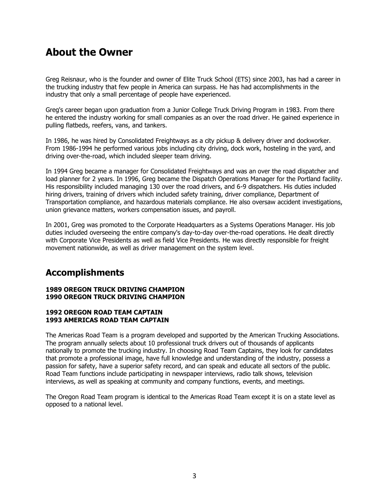### **About the Owner**

Greg Reisnaur, who is the founder and owner of Elite Truck School (ETS) since 2003, has had a career in the trucking industry that few people in America can surpass. He has had accomplishments in the industry that only a small percentage of people have experienced.

Greg's career began upon graduation from a Junior College Truck Driving Program in 1983. From there he entered the industry working for small companies as an over the road driver. He gained experience in pulling flatbeds, reefers, vans, and tankers.

In 1986, he was hired by Consolidated Freightways as a city pickup & delivery driver and dockworker. From 1986-1994 he performed various jobs including city driving, dock work, hosteling in the yard, and driving over-the-road, which included sleeper team driving.

In 1994 Greg became a manager for Consolidated Freightways and was an over the road dispatcher and load planner for 2 years. In 1996, Greg became the Dispatch Operations Manager for the Portland facility. His responsibility included managing 130 over the road drivers, and 6-9 dispatchers. His duties included hiring drivers, training of drivers which included safety training, driver compliance, Department of Transportation compliance, and hazardous materials compliance. He also oversaw accident investigations, union grievance matters, workers compensation issues, and payroll.

In 2001, Greg was promoted to the Corporate Headquarters as a Systems Operations Manager. His job duties included overseeing the entire company's day-to-day over-the-road operations. He dealt directly with Corporate Vice Presidents as well as field Vice Presidents. He was directly responsible for freight movement nationwide, as well as driver management on the system level.

### **Accomplishments**

#### **1989 OREGON TRUCK DRIVING CHAMPION 1990 OREGON TRUCK DRIVING CHAMPION**

#### **1992 OREGON ROAD TEAM CAPTAIN 1993 AMERICAS ROAD TEAM CAPTAIN**

The Americas Road Team is a program developed and supported by the American Trucking Associations. The program annually selects about 10 professional truck drivers out of thousands of applicants nationally to promote the trucking industry. In choosing Road Team Captains, they look for candidates that promote a professional image, have full knowledge and understanding of the industry, possess a passion for safety, have a superior safety record, and can speak and educate all sectors of the public. Road Team functions include participating in newspaper interviews, radio talk shows, television interviews, as well as speaking at community and company functions, events, and meetings.

The Oregon Road Team program is identical to the Americas Road Team except it is on a state level as opposed to a national level.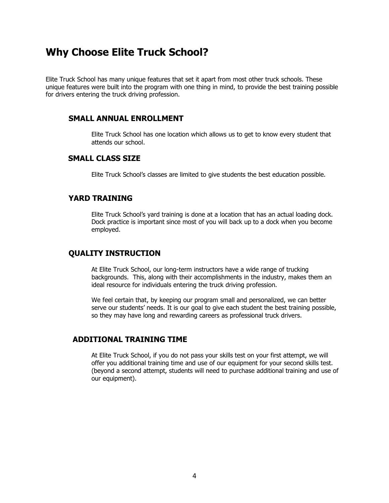### **Why Choose Elite Truck School?**

Elite Truck School has many unique features that set it apart from most other truck schools. These unique features were built into the program with one thing in mind, to provide the best training possible for drivers entering the truck driving profession.

### **SMALL ANNUAL ENROLLMENT**

Elite Truck School has one location which allows us to get to know every student that attends our school.

### **SMALL CLASS SIZE**

Elite Truck School's classes are limited to give students the best education possible.

### **YARD TRAINING**

Elite Truck School's yard training is done at a location that has an actual loading dock. Dock practice is important since most of you will back up to a dock when you become employed.

#### **QUALITY INSTRUCTION**

At Elite Truck School, our long-term instructors have a wide range of trucking backgrounds. This, along with their accomplishments in the industry, makes them an ideal resource for individuals entering the truck driving profession.

We feel certain that, by keeping our program small and personalized, we can better serve our students' needs. It is our goal to give each student the best training possible, so they may have long and rewarding careers as professional truck drivers.

### **ADDITIONAL TRAINING TIME**

At Elite Truck School, if you do not pass your skills test on your first attempt, we will offer you additional training time and use of our equipment for your second skills test. (beyond a second attempt, students will need to purchase additional training and use of our equipment).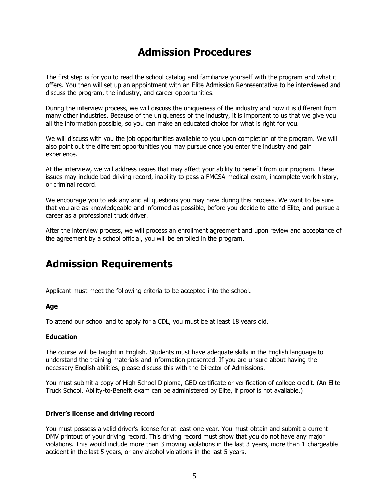## **Admission Procedures**

The first step is for you to read the school catalog and familiarize yourself with the program and what it offers. You then will set up an appointment with an Elite Admission Representative to be interviewed and discuss the program, the industry, and career opportunities.

During the interview process, we will discuss the uniqueness of the industry and how it is different from many other industries. Because of the uniqueness of the industry, it is important to us that we give you all the information possible, so you can make an educated choice for what is right for you.

We will discuss with you the job opportunities available to you upon completion of the program. We will also point out the different opportunities you may pursue once you enter the industry and gain experience.

At the interview, we will address issues that may affect your ability to benefit from our program. These issues may include bad driving record, inability to pass a FMCSA medical exam, incomplete work history, or criminal record.

We encourage you to ask any and all questions you may have during this process. We want to be sure that you are as knowledgeable and informed as possible, before you decide to attend Elite, and pursue a career as a professional truck driver.

After the interview process, we will process an enrollment agreement and upon review and acceptance of the agreement by a school official, you will be enrolled in the program.

### **Admission Requirements**

Applicant must meet the following criteria to be accepted into the school.

#### **Age**

To attend our school and to apply for a CDL, you must be at least 18 years old.

#### **Education**

The course will be taught in English. Students must have adequate skills in the English language to understand the training materials and information presented. If you are unsure about having the necessary English abilities, please discuss this with the Director of Admissions.

You must submit a copy of High School Diploma, GED certificate or verification of college credit. (An Elite Truck School, Ability-to-Benefit exam can be administered by Elite, if proof is not available.)

#### **Driver's license and driving record**

You must possess a valid driver's license for at least one year. You must obtain and submit a current DMV printout of your driving record. This driving record must show that you do not have any major violations. This would include more than 3 moving violations in the last 3 years, more than 1 chargeable accident in the last 5 years, or any alcohol violations in the last 5 years.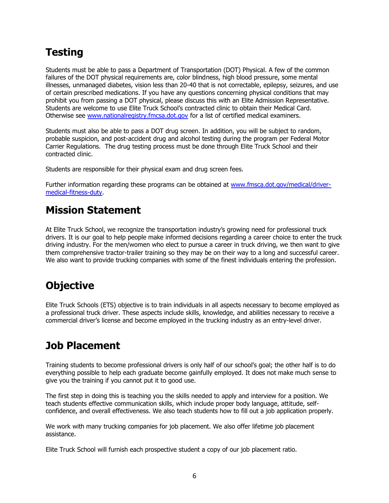# **Testing**

Students must be able to pass a Department of Transportation (DOT) Physical. A few of the common failures of the DOT physical requirements are, color blindness, high blood pressure, some mental illnesses, unmanaged diabetes, vision less than 20-40 that is not correctable, epilepsy, seizures, and use of certain prescribed medications. If you have any questions concerning physical conditions that may prohibit you from passing a DOT physical, please discuss this with an Elite Admission Representative. Students are welcome to use Elite Truck School's contracted clinic to obtain their Medical Card. Otherwise see [www.nationalregistry.fmcsa.dot.gov](http://www.nationalregistry.fmcsa.dot.gov/) for a list of certified medical examiners.

Students must also be able to pass a DOT drug screen. In addition, you will be subject to random, probable suspicion, and post-accident drug and alcohol testing during the program per Federal Motor Carrier Regulations. The drug testing process must be done through Elite Truck School and their contracted clinic.

Students are responsible for their physical exam and drug screen fees.

Further information regarding these programs can be obtained at [www.fmsca.dot.gov/medical/driver](http://www.fmsca.dot.gov/medical/driver-medical-fitness-duty)[medical-fitness-duty.](http://www.fmsca.dot.gov/medical/driver-medical-fitness-duty)

## **Mission Statement**

At Elite Truck School, we recognize the transportation industry's growing need for professional truck drivers. It is our goal to help people make informed decisions regarding a career choice to enter the truck driving industry. For the men/women who elect to pursue a career in truck driving, we then want to give them comprehensive tractor-trailer training so they may be on their way to a long and successful career. We also want to provide trucking companies with some of the finest individuals entering the profession.

# **Objective**

Elite Truck Schools (ETS) objective is to train individuals in all aspects necessary to become employed as a professional truck driver. These aspects include skills, knowledge, and abilities necessary to receive a commercial driver's license and become employed in the trucking industry as an entry-level driver.

# **Job Placement**

Training students to become professional drivers is only half of our school's goal; the other half is to do everything possible to help each graduate become gainfully employed. It does not make much sense to give you the training if you cannot put it to good use.

The first step in doing this is teaching you the skills needed to apply and interview for a position. We teach students effective communication skills, which include proper body language, attitude, selfconfidence, and overall effectiveness. We also teach students how to fill out a job application properly.

We work with many trucking companies for job placement. We also offer lifetime job placement assistance.

Elite Truck School will furnish each prospective student a copy of our job placement ratio.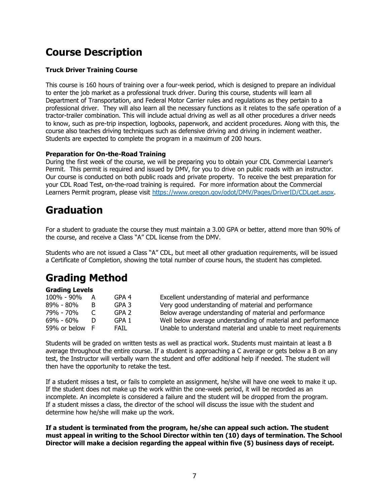# **Course Description**

### **Truck Driver Training Course**

This course is 160 hours of training over a four-week period, which is designed to prepare an individual to enter the job market as a professional truck driver. During this course, students will learn all Department of Transportation, and Federal Motor Carrier rules and regulations as they pertain to a professional driver. They will also learn all the necessary functions as it relates to the safe operation of a tractor-trailer combination. This will include actual driving as well as all other procedures a driver needs to know, such as pre-trip inspection, logbooks, paperwork, and accident procedures. Along with this, the course also teaches driving techniques such as defensive driving and driving in inclement weather. Students are expected to complete the program in a maximum of 200 hours.

### **Preparation for On-the-Road Training**

During the first week of the course, we will be preparing you to obtain your CDL Commercial Learner's Permit. This permit is required and issued by DMV, for you to drive on public roads with an instructor. Our course is conducted on both public roads and private property. To receive the best preparation for your CDL Road Test, on-the-road training is required. For more information about the Commercial Learners Permit program, please visit [https://www.oregon.gov/odot/DMV/Pages/DriverID/CDLget.aspx.](https://www.oregon.gov/odot/DMV/Pages/DriverID/CDLget.aspx)

## **Graduation**

For a student to graduate the course they must maintain a 3.00 GPA or better, attend more than 90% of the course, and receive a Class "A" CDL license from the DMV.

Students who are not issued a Class "A" CDL, but meet all other graduation requirements, will be issued a Certificate of Completion, showing the total number of course hours, the student has completed.

# **Grading Method**

#### **Grading Levels**

| 100% - 90%   | A   | GPA 4            | Excellent understanding of material and performance           |
|--------------|-----|------------------|---------------------------------------------------------------|
| 89% - 80%    | B   | GPA 3            | Very good understanding of material and performance           |
| 79% - 70%    |     | GPA <sub>2</sub> | Below average understanding of material and performance       |
| 69% - 60%    |     | GPA 1            | Well below average understanding of material and performance  |
| 59% or below | - F | <b>FAIL</b>      | Unable to understand material and unable to meet requirements |

Students will be graded on written tests as well as practical work. Students must maintain at least a B average throughout the entire course. If a student is approaching a C average or gets below a B on any test, the Instructor will verbally warn the student and offer additional help if needed. The student will then have the opportunity to retake the test.

If a student misses a test, or fails to complete an assignment, he/she will have one week to make it up. If the student does not make up the work within the one-week period, it will be recorded as an incomplete. An incomplete is considered a failure and the student will be dropped from the program. If a student misses a class, the director of the school will discuss the issue with the student and determine how he/she will make up the work.

**If a student is terminated from the program, he/she can appeal such action. The student must appeal in writing to the School Director within ten (10) days of termination. The School Director will make a decision regarding the appeal within five (5) business days of receipt.**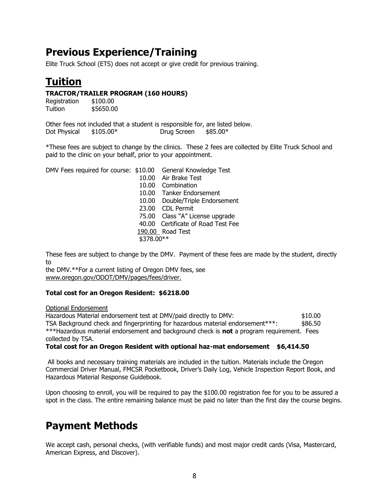# **Previous Experience/Training**

Elite Truck School (ETS) does not accept or give credit for previous training.

# **Tuition**

### **TRACTOR/TRAILER PROGRAM (160 HOURS)**

| Registration | \$100.00  |
|--------------|-----------|
| Tuition      | \$5650.00 |

|              | Other fees not included that a student is responsible for, are listed below. |             |          |  |
|--------------|------------------------------------------------------------------------------|-------------|----------|--|
| Dot Physical | \$105.00*                                                                    | Drug Screen | \$85.00* |  |

\*These fees are subject to change by the clinics. These 2 fees are collected by Elite Truck School and paid to the clinic on your behalf, prior to your appointment.

DMV Fees required for course: \$10.00 General Knowledge Test

10.00 Air Brake Test 10.00 Combination 10.00 Tanker Endorsement 10.00 Double/Triple Endorsement 23.00 CDL Permit 75.00 Class "A" License upgrade 40.00 Certificate of Road Test Fee 190.00 Road Test \$378.00\*\*

These fees are subject to change by the DMV. Payment of these fees are made by the student, directly to

the DMV.\*\*For a current listing of Oregon DMV fees, see www.oregon.gov/ODOT/DMV/pages/fees/driver.

### **Total cost for an Oregon Resident: \$6218.00**

#### Optional Endorsement

Hazardous Material endorsement test at DMV/paid directly to DMV: \$10.00 TSA Background check and fingerprinting for hazardous material endorsement\*\*\*: \$86.50 \*\*\*Hazardous material endorsement and background check is **not** a program requirement. Fees collected by TSA.

### **Total cost for an Oregon Resident with optional haz-mat endorsement \$6,414.50**

All books and necessary training materials are included in the tuition. Materials include the Oregon Commercial Driver Manual, FMCSR Pocketbook, Driver's Daily Log, Vehicle Inspection Report Book, and Hazardous Material Response Guidebook.

Upon choosing to enroll, you will be required to pay the \$100.00 registration fee for you to be assured a spot in the class. The entire remaining balance must be paid no later than the first day the course begins.

## **Payment Methods**

We accept cash, personal checks, (with verifiable funds) and most major credit cards (Visa, Mastercard, American Express, and Discover).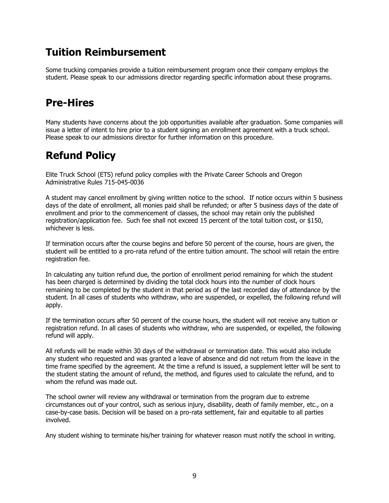## **Tuition Reimbursement**

Some trucking companies provide a tuition reimbursement program once their company employs the student. Please speak to our admissions director regarding specific information about these programs.

## **Pre-Hires**

Many students have concerns about the job opportunities available after graduation. Some companies will issue a letter of intent to hire prior to a student signing an enrollment agreement with a truck school. Please speak to our admissions director for further information on this procedure.

# **Refund Policy**

Elite Truck School (ETS) refund policy complies with the Private Career Schools and Oregon Administrative Rules 715-045-0036

A student may cancel enrollment by giving written notice to the school. If notice occurs within 5 business days of the date of enrollment, all monies paid shall be refunded; or after 5 business days of the date of enrollment and prior to the commencement of classes, the school may retain only the published registration/application fee. Such fee shall not exceed 15 percent of the total tuition cost, or \$150, whichever is less.

If termination occurs after the course begins and before 50 percent of the course, hours are given, the student will be entitled to a pro-rata refund of the entire tuition amount. The school will retain the entire registration fee.

In calculating any tuition refund due, the portion of enrollment period remaining for which the student has been charged is determined by dividing the total clock hours into the number of clock hours remaining to be completed by the student in that period as of the last recorded day of attendance by the student. In all cases of students who withdraw, who are suspended, or expelled, the following refund will apply.

If the termination occurs after 50 percent of the course hours, the student will not receive any tuition or registration refund. In all cases of students who withdraw, who are suspended, or expelled, the following refund will apply.

All refunds will be made within 30 days of the withdrawal or termination date. This would also include any student who requested and was granted a leave of absence and did not return from the leave in the time frame specified by the agreement. At the time a refund is issued, a supplement letter will be sent to the student stating the amount of refund, the method, and figures used to calculate the refund, and to whom the refund was made out.

The school owner will review any withdrawal or termination from the program due to extreme circumstances out of your control, such as serious injury, disability, death of family member, etc., on a case-by-case basis. Decision will be based on a pro-rata settlement, fair and equitable to all parties involved.

Any student wishing to terminate his/her training for whatever reason must notify the school in writing.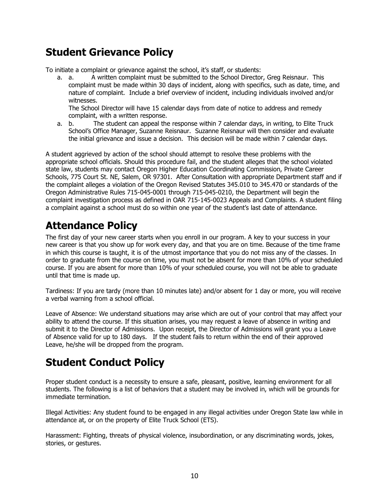# **Student Grievance Policy**

To initiate a complaint or grievance against the school, it's staff, or students:

a. a. A written complaint must be submitted to the School Director, Greg Reisnaur. This complaint must be made within 30 days of incident, along with specifics, such as date, time, and nature of complaint. Include a brief overview of incident, including individuals involved and/or witnesses.

The School Director will have 15 calendar days from date of notice to address and remedy complaint, with a written response.

a. b. The student can appeal the response within 7 calendar days, in writing, to Elite Truck School's Office Manager, Suzanne Reisnaur. Suzanne Reisnaur will then consider and evaluate the initial grievance and issue a decision. This decision will be made within 7 calendar days.

A student aggrieved by action of the school should attempt to resolve these problems with the appropriate school officials. Should this procedure fail, and the student alleges that the school violated state law, students may contact Oregon Higher Education Coordinating Commission, Private Career Schools, 775 Court St. NE, Salem, OR 97301. After Consultation with appropriate Department staff and if the complaint alleges a violation of the Oregon Revised Statutes 345.010 to 345.470 or standards of the Oregon Administrative Rules 715-045-0001 through 715-045-0210, the Department will begin the complaint investigation process as defined in OAR 715-145-0023 Appeals and Complaints. A student filing a complaint against a school must do so within one year of the student's last date of attendance.

# **Attendance Policy**

The first day of your new career starts when you enroll in our program. A key to your success in your new career is that you show up for work every day, and that you are on time. Because of the time frame in which this course is taught, it is of the utmost importance that you do not miss any of the classes. In order to graduate from the course on time, you must not be absent for more than 10% of your scheduled course. If you are absent for more than 10% of your scheduled course, you will not be able to graduate until that time is made up.

Tardiness: If you are tardy (more than 10 minutes late) and/or absent for 1 day or more, you will receive a verbal warning from a school official.

Leave of Absence: We understand situations may arise which are out of your control that may affect your ability to attend the course. If this situation arises, you may request a leave of absence in writing and submit it to the Director of Admissions. Upon receipt, the Director of Admissions will grant you a Leave of Absence valid for up to 180 days. If the student fails to return within the end of their approved Leave, he/she will be dropped from the program.

# **Student Conduct Policy**

Proper student conduct is a necessity to ensure a safe, pleasant, positive, learning environment for all students. The following is a list of behaviors that a student may be involved in, which will be grounds for immediate termination.

Illegal Activities: Any student found to be engaged in any illegal activities under Oregon State law while in attendance at, or on the property of Elite Truck School (ETS).

Harassment: Fighting, threats of physical violence, insubordination, or any discriminating words, jokes, stories, or gestures.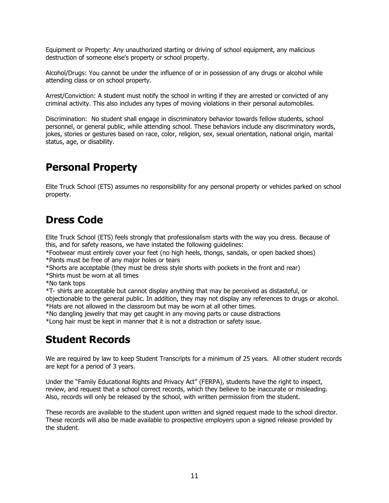Equipment or Property: Any unauthorized starting or driving of school equipment, any malicious destruction of someone else's property or school property.

Alcohol/Drugs: You cannot be under the influence of or in possession of any drugs or alcohol while attending class or on school property.

Arrest/Conviction: A student must notify the school in writing if they are arrested or convicted of any criminal activity. This also includes any types of moving violations in their personal automobiles.

Discrimination: No student shall engage in discriminatory behavior towards fellow students, school personnel, or general public, while attending school. These behaviors include any discriminatory words, jokes, stories or gestures based on race, color, religion, sex, sexual orientation, national origin, marital status, age, or disability.

# **Personal Property**

Elite Truck School (ETS) assumes no responsibility for any personal property or vehicles parked on school property.

## **Dress Code**

Elite Truck School (ETS) feels strongly that professionalism starts with the way you dress. Because of this, and for safety reasons, we have instated the following guidelines:

\*Footwear must entirely cover your feet (no high heels, thongs, sandals, or open backed shoes) \*Pants must be free of any major holes or tears

\*Shorts are acceptable (they must be dress style shorts with pockets in the front and rear) \*Shirts must be worn at all times

\*No tank tops

\*T- shirts are acceptable but cannot display anything that may be perceived as distasteful, or objectionable to the general public. In addition, they may not display any references to drugs or alcohol. \*Hats are not allowed in the classroom but may be worn at all other times.

\*No dangling jewelry that may get caught in any moving parts or cause distractions

\*Long hair must be kept in manner that it is not a distraction or safety issue.

## **Student Records**

We are required by law to keep Student Transcripts for a minimum of 25 years. All other student records are kept for a period of 3 years.

Under the "Family Educational Rights and Privacy Act" (FERPA), students have the right to inspect, review, and request that a school correct records, which they believe to be inaccurate or misleading. Also, records will only be released by the school, with written permission from the student.

These records are available to the student upon written and signed request made to the school director. These records will also be made available to prospective employers upon a signed release provided by the student.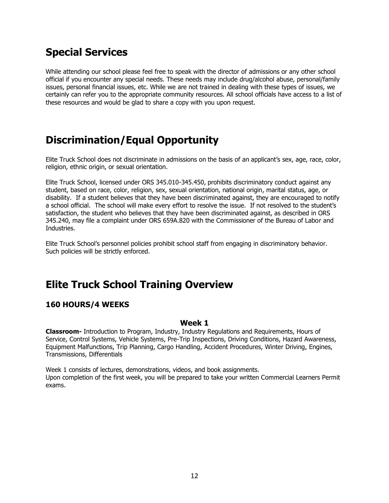# **Special Services**

While attending our school please feel free to speak with the director of admissions or any other school official if you encounter any special needs. These needs may include drug/alcohol abuse, personal/family issues, personal financial issues, etc. While we are not trained in dealing with these types of issues, we certainly can refer you to the appropriate community resources. All school officials have access to a list of these resources and would be glad to share a copy with you upon request.

# **Discrimination/Equal Opportunity**

Elite Truck School does not discriminate in admissions on the basis of an applicant's sex, age, race, color, religion, ethnic origin, or sexual orientation.

Elite Truck School, licensed under ORS 345.010-345.450, prohibits discriminatory conduct against any student, based on race, color, religion, sex, sexual orientation, national origin, marital status, age, or disability. If a student believes that they have been discriminated against, they are encouraged to notify a school official. The school will make every effort to resolve the issue. If not resolved to the student's satisfaction, the student who believes that they have been discriminated against, as described in ORS 345.240, may file a complaint under ORS 659A.820 with the Commissioner of the Bureau of Labor and Industries.

Elite Truck School's personnel policies prohibit school staff from engaging in discriminatory behavior. Such policies will be strictly enforced.

## **Elite Truck School Training Overview**

### **160 HOURS/4 WEEKS**

#### **Week 1**

**Classroom-** Introduction to Program, Industry, Industry Regulations and Requirements, Hours of Service, Control Systems, Vehicle Systems, Pre-Trip Inspections, Driving Conditions, Hazard Awareness, Equipment Malfunctions, Trip Planning, Cargo Handling, Accident Procedures, Winter Driving, Engines, Transmissions, Differentials

Week 1 consists of lectures, demonstrations, videos, and book assignments. Upon completion of the first week, you will be prepared to take your written Commercial Learners Permit exams.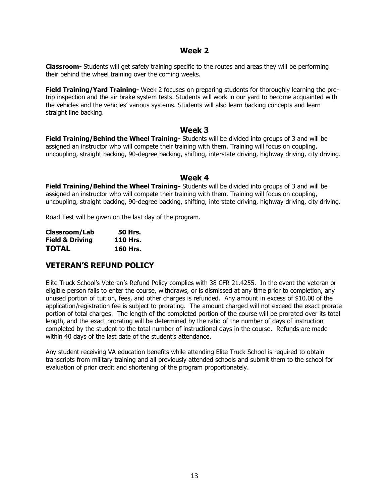#### **Week 2**

**Classroom-** Students will get safety training specific to the routes and areas they will be performing their behind the wheel training over the coming weeks.

**Field Training/Yard Training-** Week 2 focuses on preparing students for thoroughly learning the pretrip inspection and the air brake system tests. Students will work in our yard to become acquainted with the vehicles and the vehicles' various systems. Students will also learn backing concepts and learn straight line backing.

#### **Week 3**

**Field Training/Behind the Wheel Training-** Students will be divided into groups of 3 and will be assigned an instructor who will compete their training with them. Training will focus on coupling, uncoupling, straight backing, 90-degree backing, shifting, interstate driving, highway driving, city driving.

#### **Week 4**

**Field Training/Behind the Wheel Training-** Students will be divided into groups of 3 and will be assigned an instructor who will compete their training with them. Training will focus on coupling, uncoupling, straight backing, 90-degree backing, shifting, interstate driving, highway driving, city driving.

Road Test will be given on the last day of the program.

| Classroom/Lab              | <b>50 Hrs.</b>  |
|----------------------------|-----------------|
| <b>Field &amp; Driving</b> | <b>110 Hrs.</b> |
| <b>TOTAL</b>               | <b>160 Hrs.</b> |

### **VETERAN'S REFUND POLICY**

Elite Truck School's Veteran's Refund Policy complies with 38 CFR 21.4255. In the event the veteran or eligible person fails to enter the course, withdraws, or is dismissed at any time prior to completion, any unused portion of tuition, fees, and other charges is refunded. Any amount in excess of \$10.00 of the application/registration fee is subject to prorating. The amount charged will not exceed the exact prorate portion of total charges. The length of the completed portion of the course will be prorated over its total length, and the exact prorating will be determined by the ratio of the number of days of instruction completed by the student to the total number of instructional days in the course. Refunds are made within 40 days of the last date of the student's attendance.

Any student receiving VA education benefits while attending Elite Truck School is required to obtain transcripts from military training and all previously attended schools and submit them to the school for evaluation of prior credit and shortening of the program proportionately.